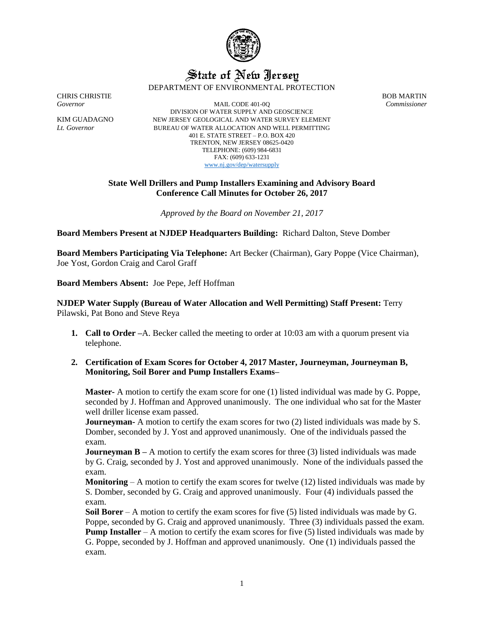

## State of New Jersey DEPARTMENT OF ENVIRONMENTAL PROTECTION

CHRIS CHRISTIE BOB MARTIN

*Governor* MAIL CODE 401-0Q *Commissioner* DIVISION OF WATER SUPPLY AND GEOSCIENCE KIM GUADAGNO NEW JERSEY GEOLOGICAL AND WATER SURVEY ELEMENT *Lt. Governor* BUREAU OF WATER ALLOCATION AND WELL PERMITTING 401 E. STATE STREET – P.O. BOX 420 TRENTON, NEW JERSEY 08625-0420 TELEPHONE: (609) 984-6831 FAX: (609) 633-1231 [www.nj.gov/dep/watersupply](http://www.nj.gov/dep/watersupply)

## **State Well Drillers and Pump Installers Examining and Advisory Board Conference Call Minutes for October 26, 2017**

*Approved by the Board on November 21, 2017*

**Board Members Present at NJDEP Headquarters Building:** Richard Dalton, Steve Domber

**Board Members Participating Via Telephone:** Art Becker (Chairman), Gary Poppe (Vice Chairman), Joe Yost, Gordon Craig and Carol Graff

**Board Members Absent:** Joe Pepe, Jeff Hoffman

**NJDEP Water Supply (Bureau of Water Allocation and Well Permitting) Staff Present:** Terry Pilawski, Pat Bono and Steve Reya

- **1. Call to Order –**A. Becker called the meeting to order at 10:03 am with a quorum present via telephone.
- **2. Certification of Exam Scores for October 4, 2017 Master, Journeyman, Journeyman B, Monitoring, Soil Borer and Pump Installers Exams–**

**Master-** A motion to certify the exam score for one (1) listed individual was made by G. Poppe, seconded by J. Hoffman and Approved unanimously. The one individual who sat for the Master well driller license exam passed.

**Journeyman-** A motion to certify the exam scores for two (2) listed individuals was made by S. Domber, seconded by J. Yost and approved unanimously. One of the individuals passed the exam.

**Journeyman B** – A motion to certify the exam scores for three (3) listed individuals was made by G. Craig, seconded by J. Yost and approved unanimously. None of the individuals passed the exam.

**Monitoring** – A motion to certify the exam scores for twelve (12) listed individuals was made by S. Domber, seconded by G. Craig and approved unanimously. Four (4) individuals passed the exam.

**Soil Borer** – A motion to certify the exam scores for five (5) listed individuals was made by G. Poppe, seconded by G. Craig and approved unanimously. Three (3) individuals passed the exam. **Pump Installer** – A motion to certify the exam scores for five (5) listed individuals was made by G. Poppe, seconded by J. Hoffman and approved unanimously. One (1) individuals passed the exam.